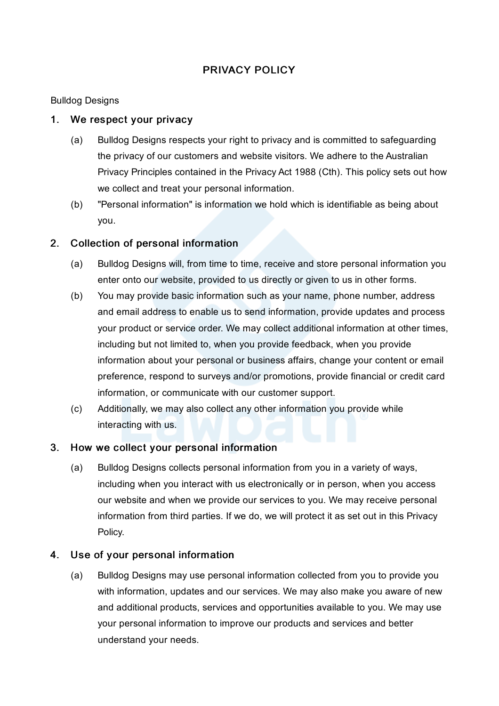# PRIVACY POLICY

## Bulldog Designs

## 1. We respect your privacy

- (a) Bulldog Designs respects your right to privacy and is committed to safeguarding the privacy of our customers and website visitors. We adhere to the Australian Privacy Principles contained in the Privacy Act 1988 (Cth). This policy sets out how we collect and treat your personal information.
- (b) "Personal information" is information we hold which is identifiable as being about you.

# 2. Collection of personal information

- (a) Bulldog Designs will, from time to time, receive and store personal information you enter onto our website, provided to us directly or given to us in other forms.
- (b) You may provide basic information such as your name, phone number, address and email address to enable us to send information, provide updates and process your product or service order. We may collect additional information at other times, including but not limited to, when you provide feedback, when you provide information about your personal or business affairs, change your content or email preference, respond to surveys and/or promotions, provide financial or credit card information, or communicate with our customer support.
- (c) Additionally, we may also collect any other information you provide while interacting with us.

## 3. How we collect your personal information

(a) Bulldog Designs collects personal information from you in a variety of ways, including when you interact with us electronically or in person, when you access our website and when we provide our services to you. We may receive personal information from third parties. If we do, we will protect it as set out in this Privacy Policy.

# 4. Use of your personal information

(a) Bulldog Designs may use personal information collected from you to provide you with information, updates and our services. We may also make you aware of new and additional products, services and opportunities available to you. We may use your personal information to improve our products and services and better understand your needs.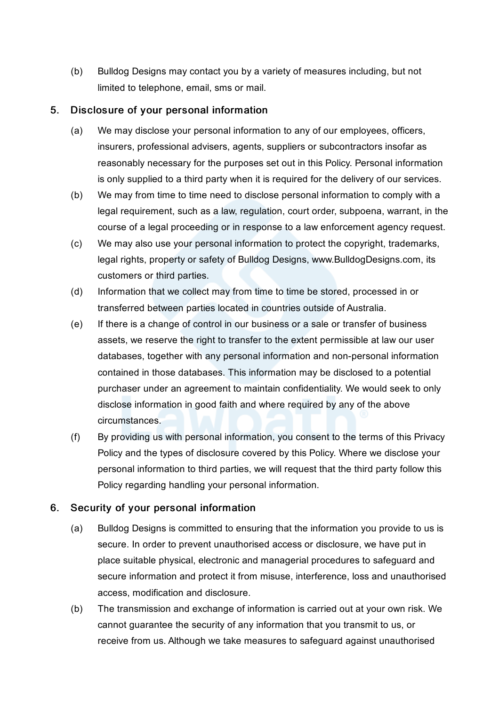(b) Bulldog Designs may contact you by a variety of measures including, but not limited to telephone, email, sms or mail.

## 5. Disclosure of your personal information

- (a) We may disclose your personal information to any of our employees, officers, insurers, professional advisers, agents, suppliers or subcontractors insofar as reasonably necessary for the purposes set out in this Policy. Personal information is only supplied to a third party when it is required for the delivery of our services.
- (b) We may from time to time need to disclose personal information to comply with a legal requirement, such as a law, regulation, court order, subpoena, warrant, in the course of a legal proceeding or in response to a law enforcement agency request.
- (c) We may also use your personal information to protect the copyright, trademarks, legal rights, property or safety of Bulldog Designs, www.BulldogDesigns.com, its customers or third parties.
- (d) Information that we collect may from time to time be stored, processed in or transferred between parties located in countries outside of Australia.
- (e) If there is a change of control in our business or a sale or transfer of business assets, we reserve the right to transfer to the extent permissible at law our user databases, together with any personal information and non-personal information contained in those databases. This information may be disclosed to a potential purchaser under an agreement to maintain confidentiality. We would seek to only disclose information in good faith and where required by any of the above circumstances.
- (f) By providing us with personal information, you consent to the terms of this Privacy Policy and the types of disclosure covered by this Policy. Where we disclose your personal information to third parties, we will request that the third party follow this Policy regarding handling your personal information.

# 6. Security of your personal information

- (a) Bulldog Designs is committed to ensuring that the information you provide to us is secure. In order to prevent unauthorised access or disclosure, we have put in place suitable physical, electronic and managerial procedures to safeguard and secure information and protect it from misuse, interference, loss and unauthorised access, modification and disclosure.
- (b) The transmission and exchange of information is carried out at your own risk. We cannot guarantee the security of any information that you transmit to us, or receive from us. Although we take measures to safeguard against unauthorised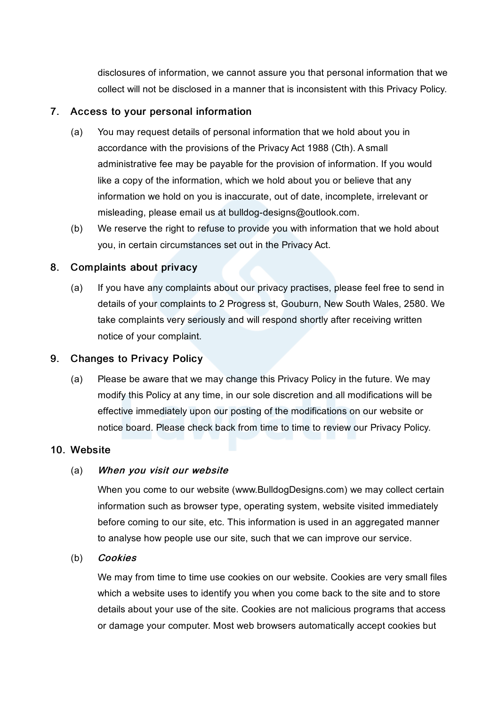disclosures of information, we cannot assure you that personal information that we collect will not be disclosed in a manner that is inconsistent with this Privacy Policy.

### 7. Access to your personal information

- (a) You may request details of personal information that we hold about you in accordance with the provisions of the Privacy Act 1988 (Cth). A small administrative fee may be payable for the provision of information. If you would like a copy of the information, which we hold about you or believe that any information we hold on you is inaccurate, out of date, incomplete, irrelevant or misleading, please email us at bulldog-designs@outlook.com.
- (b) We reserve the right to refuse to provide you with information that we hold about you, in certain circumstances set out in the Privacy Act.

### 8. Complaints about privacy

(a) If you have any complaints about our privacy practises, please feel free to send in details of your complaints to 2 Progress st, Gouburn, New South Wales, 2580. We take complaints very seriously and will respond shortly after receiving written notice of your complaint.

### 9. Changes to Privacy Policy

(a) Please be aware that we may change this Privacy Policy in the future. We may modify this Policy at any time, in our sole discretion and all modifications will be effective immediately upon our posting of the modifications on our website or notice board. Please check back from time to time to review our Privacy Policy.

### 10. Website

#### (a) When you visit our website

When you come to our website (www.BulldogDesigns.com) we may collect certain information such as browser type, operating system, website visited immediately before coming to our site, etc. This information is used in an aggregated manner to analyse how people use our site, such that we can improve our service.

#### (b) Cookies

We may from time to time use cookies on our website. Cookies are very small files which a website uses to identify you when you come back to the site and to store details about your use of the site. Cookies are not malicious programs that access or damage your computer. Most web browsers automatically accept cookies but